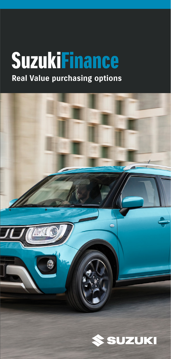## **Real Value purchasing options SuzukiFinance**



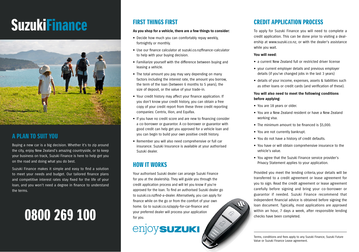# SuzukiFinance



## A PLAN TO SUIT YOU

Buying a new car is a big decision. Whether it's to zip around the city, enjoy New Zealand's amazing countryside, or to keep your business on track, Suzuki Finance is here to help get you on the road and doing what you do best.

Suzuki Finance makes it simple and easy to find a solution to meet your needs and budget. Our tailored finance plans and competitive interest rates stay fixed for the life of your loan, and you won't need a degree in finance to understand the terms.

## 0800 269 100

## FIRST THINGS FIRST

#### **As you shop for a vehicle, there are a few things to consider:**

- Decide how much you can comfortably repay weekly, fortnightly or monthly.
- Use our finance calculator at suzuki.co.nz/finance-calculator to help with your buying decision.
- Familiarize yourself with the difference between buying and leasing a vehicle.
- The total amount you pay may vary depending on many factors including the interest rate, the amount you borrow, the term of the loan (between 6 months to 5 years), the size of deposit, or the value of your trade-in.
- Your credit history may affect your finance application. If you don't know your credit history, you can obtain a free copy of your credit report from these three credit reporting companies: Centrix, Ilion, and Equifax.
- If you have no credit score and are new to financing consider a co-borrower or guarantor. A co-borrower or guarantor with good credit can help get you approved for a vehicle loan and you can begin to build your own positive credit history.
- Remember you will also need comprehensive or full car insurance. Suzuki Insurance is available at your authorised Suzuki dealer.

## HOW IT WORKS

Your authorised Suzuki dealer can arrange Suzuki Finance for you at the dealership. They will guide you through the credit application process and will let you know if you're approved for the loan. To find an authorised Suzuki dealer go to suzuki.co.nz/find-a-dealer. Alternatively, you can apply for finance while on the go or from the comfort of your own home. Go to suzuki.co.nz/apply-for-car-finance and your preferred dealer will process your application for you.



## CREDIT APPLICATION PROCESS

To apply for Suzuki Finance you will need to complete a credit application. This can be done prior to visiting a dealership at www.suzuki.co.nz, or with the dealer's assistance while you wait.

#### **You will need:**

- a current New Zealand full or restricted driver license
- your current employer details and previous employer details (if you've changed jobs in the last 3 years)
- details of your income, expenses, assets & liabilities such as other loans or credit cards (and verification of these).

### **You will also need to meet the following conditions before applying:**

- You are 18 years or older.
- You are a New Zealand resident or have a New Zealand working visa.
- $\bullet$  The minimum amount to be financed is \$5,000.
- You are not currently bankrupt.
- You do not have a history of credit defaults.
- You have or will obtain comprehensive insurance to the vehicle's value.
- You agree that the Suzuki Finance service provider's Privacy Statement applies to your application.

Provided you meet the lending criteria, your details will be transferred to a credit agreement or lease agreement for you to sign. Read the credit agreement or lease agreement carefully before signing and bring your co-borrower or guarantor if needed. Suzuki Finance recommend that independent financial advice is obtained before signing the loan document. Typically, most applications are approved within an hour, 7 days a week, after responsible lending checks have been completed.

Terms, conditions and fees apply to any Suzuki Finance, Suzuki Future Value or Suzuki Finance Lease agreement.